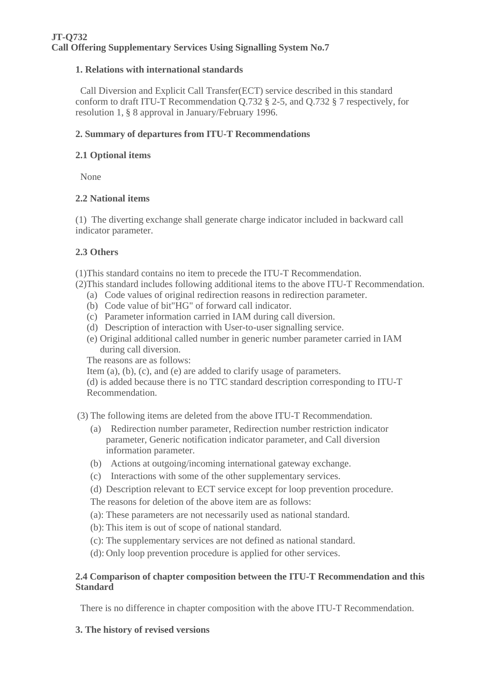# **1. Relations with international standards**

 Call Diversion and Explicit Call Transfer(ECT) service described in this standard conform to draft ITU-T Recommendation Q.732 § 2-5, and Q.732 § 7 respectively, for resolution 1, § 8 approval in January/February 1996.

# **2. Summary of departures from ITU-T Recommendations**

#### **2.1 Optional items**

None

### **2.2 National items**

(1) The diverting exchange shall generate charge indicator included in backward call indicator parameter.

### **2.3 Others**

(1)This standard contains no item to precede the ITU-T Recommendation.

(2)This standard includes following additional items to the above ITU-T Recommendation.

- (a) Code values of original redirection reasons in redirection parameter.
- (b) Code value of bit"HG" of forward call indicator.
- (c) Parameter information carried in IAM during call diversion.
- (d) Description of interaction with User-to-user signalling service.
- (e) Original additional called number in generic number parameter carried in IAM during call diversion.

The reasons are as follows:

Item (a), (b), (c), and (e) are added to clarify usage of parameters.

(d) is added because there is no TTC standard description corresponding to ITU-T Recommendation.

(3) The following items are deleted from the above ITU-T Recommendation.

- (a) Redirection number parameter, Redirection number restriction indicator parameter, Generic notification indicator parameter, and Call diversion information parameter.
- (b) Actions at outgoing/incoming international gateway exchange.
- (c) Interactions with some of the other supplementary services.
- (d) Description relevant to ECT service except for loop prevention procedure.

The reasons for deletion of the above item are as follows:

- (a): These parameters are not necessarily used as national standard.
- (b): This item is out of scope of national standard.
- (c): The supplementary services are not defined as national standard.
- (d): Only loop prevention procedure is applied for other services.

#### **2.4 Comparison of chapter composition between the ITU-T Recommendation and this Standard**

There is no difference in chapter composition with the above ITU-T Recommendation.

**3. The history of revised versions**